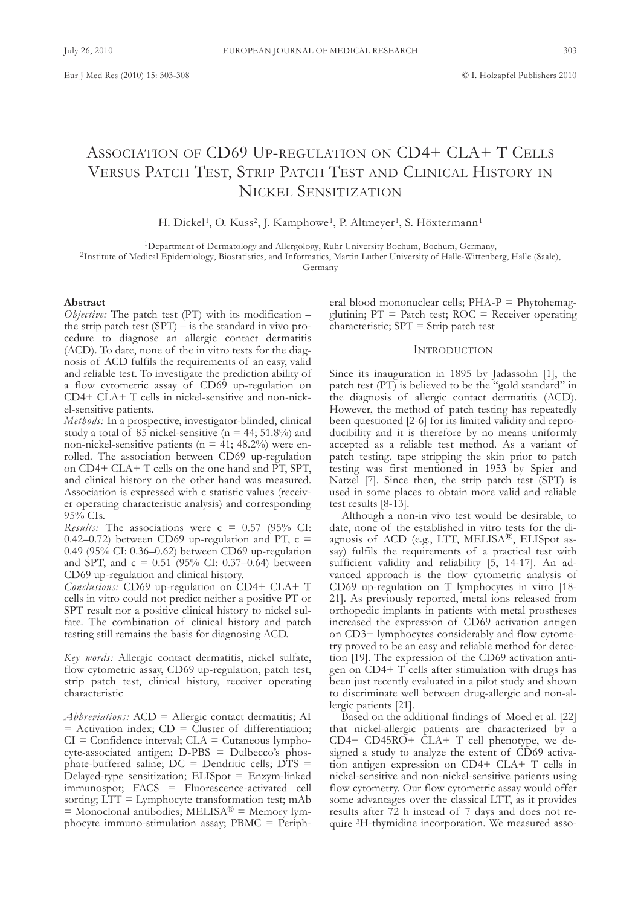# ASSOCIATION OF CD69 UP-REGULATION ON CD4+ CLA+ T CELLS VERSUS PATCH TEST, STRIP PATCH TEST AND CLINICAL HISTORY IN NICKEL SENSITIZATION

H. Dickel<sup>1</sup>, O. Kuss<sup>2</sup>, J. Kamphowe<sup>1</sup>, P. Altmeyer<sup>1</sup>, S. Höxtermann<sup>1</sup>

<sup>1</sup>Department of Dermatology and Allergology, Ruhr University Bochum, Bochum, Germany,

2Institute of Medical Epidemiology, Biostatistics, and Informatics, Martin luther University of Halle-Wittenberg, Halle (saale),

Germany

# **Abstract**

*Objective:* The patch test (PT) with its modification – the strip patch test  $(SPT)$  – is the standard in vivo procedure to diagnose an allergic contact dermatitis (ACD). To date, none of the in vitro tests for the diagnosis of AcD fulfils the requirements of an easy, valid and reliable test. To investigate the prediction ability of a flow cytometric assay of cD69 up-regulation on  $CD4+CLA+T$  cells in nickel-sensitive and non-nickel-sensitive patients.

*Methods:* In a prospective, investigator-blinded, clinical study a total of 85 nickel-sensitive ( $n = 44$ ; 51.8%) and non-nickel-sensitive patients ( $n = 41$ ; 48.2%) were enrolled. the association between cD69 up-regulation on CD4+ CLA+ T cells on the one hand and PT, SPT, and clinical history on the other hand was measured. Association is expressed with c statistic values (receiver operating characteristic analysis) and corresponding 95% cIs.

*Results:* The associations were  $c = 0.57$  (95% CI: 0.42–0.72) between CD69 up-regulation and PT,  $c =$ 0.49 (95% cI: 0.36–0.62) between cD69 up-regulation and SPT, and  $c = 0.51$  (95% CI: 0.37–0.64) between cD69 up-regulation and clinical history.

Conclusions: CD69 up-regulation on CD4+ CLA+ T cells in vitro could not predict neither a positive PT or SPT result nor a positive clinical history to nickel sulfate. The combination of clinical history and patch testing still remains the basis for diagnosing AcD.

*Key words:* Allergic contact dermatitis, nickel sulfate, flow cytometric assay, cD69 up-regulation, patch test, strip patch test, clinical history, receiver operating characteristic

*Abbreviations:* AcD = Allergic contact dermatitis; AI  $=$  Activation index;  $CD =$  Cluster of differentiation;  $CI =$  Confidence interval;  $CLA =$  Cutaneous lymphocyte-associated antigen; D-PBs = Dulbecco's phosphate-buffered saline;  $DC = D$ endritic cells;  $DTS =$ Delayed-type sensitization; ElIspot = Enzym-linked immunospot; fAcs = fluorescence-activated cell sorting;  $LTT = Lymphocyte transformation test; mAb$  $=$  Monoclonal antibodies; MELISA<sup>®</sup>  $=$  Memory lymphocyte immuno-stimulation assay; PBMc = Peripheral blood mononuclear cells; PHA-P = Phytohemagglutinin;  $PT =$  Patch test;  $ROC =$  Receiver operating  $characteristic$ ;  $SPT = String$  patch test

# **INTRODUCTION**

since its inauguration in 1895 by Jadassohn [1], the patch test (PT) is believed to be the "gold standard" in the diagnosis of allergic contact dermatitis (AcD). However, the method of patch testing has repeatedly been questioned [2-6] for its limited validity and reproducibility and it is therefore by no means uniformly accepted as a reliable test method. As a variant of patch testing, tape stripping the skin prior to patch testing was first mentioned in 1953 by spier and Natzel [7]. Since then, the strip patch test (SPT) is used in some places to obtain more valid and reliable test results [8-13].

Although a non-in vivo test would be desirable, to date, none of the established in vitro tests for the diagnosis of ACD (e.g., LTT, MELISA®, ELISpot assay) fulfils the requirements of a practical test with sufficient validity and reliability [5, 14-17]. An advanced approach is the flow cytometric analysis of CD69 up-regulation on T lymphocytes in vitro [18-21]. As previously reported, metal ions released from orthopedic implants in patients with metal prostheses increased the expression of cD69 activation antigen on cD3+ lymphocytes considerably and flow cytometry proved to be an easy and reliable method for detection [19]. The expression of the CD69 activation antigen on CD4+ T cells after stimulation with drugs has been just recently evaluated in a pilot study and shown to discriminate well between drug-allergic and non-allergic patients [21].

Based on the additional findings of Moed et al. [22] that nickel-allergic patients are characterized by a CD4+ CD45RO+ CLA+ T cell phenotype, we designed a study to analyze the extent of cD69 activation antigen expression on  $CD4+CLA+T$  cells in nickel-sensitive and non-nickel-sensitive patients using flow cytometry. Our flow cytometric assay would offer some advantages over the classical LTT, as it provides results after 72 h instead of 7 days and does not require 3H-thymidine incorporation. We measured asso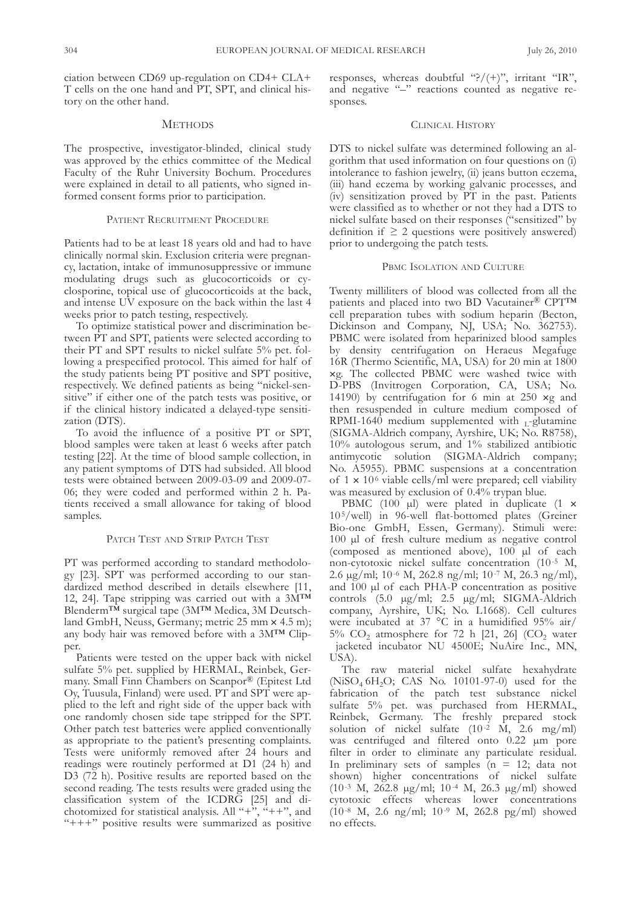ciation between CD69 up-regulation on CD4+ CLA+ T cells on the one hand and PT, SPT, and clinical history on the other hand.

# **METHODS**

The prospective, investigator-blinded, clinical study was approved by the ethics committee of the Medical faculty of the Ruhr University Bochum. Procedures were explained in detail to all patients, who signed informed consent forms prior to participation.

## PATIENT RECRUITMENT PROCEDURE

Patients had to be at least 18 years old and had to have clinically normal skin. Exclusion criteria were pregnancy, lactation, intake of immunosuppressive or immune modulating drugs such as glucocorticoids or cyclosporine, topical use of glucocorticoids at the back, and intense UV exposure on the back within the last 4 weeks prior to patch testing, respectively.

To optimize statistical power and discrimination between PT and SPT, patients were selected according to their PT and SPT results to nickel sulfate 5% pet. following a prespecified protocol. This aimed for half of the study patients being PT positive and SPT positive, respectively. We defined patients as being "nickel-sensitive" if either one of the patch tests was positive, or if the clinical history indicated a delayed-type sensitization (DTS).

To avoid the influence of a positive PT or SPT, blood samples were taken at least 6 weeks after patch testing [22]. At the time of blood sample collection, in any patient symptoms of DTS had subsided. All blood tests were obtained between 2009-03-09 and 2009-07- 06; they were coded and performed within 2 h. Patients received a small allowance for taking of blood samples.

#### PATCH TEST AND STRIP PATCH TEST

PT was performed according to standard methodology [23]. SPT was performed according to our standardized method described in details elsewhere [11, 12, 24]. Tape stripping was carried out with a  $3M^{TM}$ Blenderm™ surgical tape (3M™ Medica, 3M Deutschland GmbH, Neuss, Germany; metric 25 mm × 4.5 m); any body hair was removed before with a 3M™ clipper.

Patients were tested on the upper back with nickel sulfate 5% pet. supplied by HERMAL, Reinbek, Germany. small finn chambers on scanpor® (Epitest ltd Oy, Tuusula, Finland) were used. PT and SPT were applied to the left and right side of the upper back with one randomly chosen side tape stripped for the sPt. Other patch test batteries were applied conventionally as appropriate to the patient's presenting complaints. Tests were uniformly removed after 24 hours and readings were routinely performed at D1 (24 h) and D3 (72 h). Positive results are reported based on the second reading. The tests results were graded using the classification system of the ICDRG [25] and dichotomized for statistical analysis. All "+ $\ddot{ }$ ", "++", and "+++" positive results were summarized as positive

responses, whereas doubtful "?/ $(+)$ ", irritant "IR", and negative "–" reactions counted as negative responses.

# CLINICAL HISTORY

DTS to nickel sulfate was determined following an algorithm that used information on four questions on (i) intolerance to fashion jewelry, (ii) jeans button eczema, (iii) hand eczema by working galvanic processes, and  $(iv)$  sensitization proved by  $\overline{PT}$  in the past. Patients were classified as to whether or not they had a DTS to nickel sulfate based on their responses ("sensitized" by definition if  $\geq 2$  questions were positively answered) prior to undergoing the patch tests.

## PBMC ISOLATION AND CULTURE

Twenty milliliters of blood was collected from all the patients and placed into two BD Vacutainer® CPT™ cell preparation tubes with sodium heparin (Becton, Dickinson and Company, NJ, USA; No. 362753). PBMc were isolated from heparinized blood samples by density centrifugation on Heraeus Megafuge 16R (Thermo Scientific, MA, USA) for 20 min at 1800 ¥g. the collected PBMc were washed twice with D-PBS (Invitrogen Corporation, CA, USA; No. 14190) by centrifugation for 6 min at 250 ¥g and then resuspended in culture medium composed of RPMI-1640 medium supplemented with  $_{L}$ -glutamine (SIGMA-Aldrich company, Ayrshire, UK; No. R8758), 10% autologous serum, and 1% stabilized antibiotic antimycotic solution (sIgMA-Aldrich company; No. A5955). PBMC suspensions at a concentration of  $1 \times 10^6$  viable cells/ml were prepared; cell viability was measured by exclusion of 0.4% trypan blue.

PBMC (100  $\mu$ l) were plated in duplicate (1  $\times$  $10<sup>5</sup>/well$ ) in 96-well flat-bottomed plates (Greiner Bio-one GmbH, Essen, Germany). Stimuli were: 100 µl of fresh culture medium as negative control (composed as mentioned above), 100 µl of each non-cytotoxic nickel sulfate concentration (10-5 M, 2.6 µg/ml; 10-6 M, 262.8 ng/ml; 10-7 M, 26.3 ng/ml), and 100 µl of each PHA-P concentration as positive controls (5.0 µg/ml; 2.5 µg/ml; SIGMA-Aldrich company, Ayrshire, UK; No. L1668). Cell cultures were incubated at 37 °C in a humidified 95% air/ 5%  $CO<sub>2</sub>$  atmosphere for 72 h [21, 26] ( $CO<sub>2</sub>$  water jacketed incubator NU 4500E; NuAire Inc., MN, UsA).

The raw material nickel sulfate hexahydrate  $(NiSO<sub>4</sub>6H<sub>2</sub>O; CAS No. 10101-97-0) used for the$ fabrication of the patch test substance nickel sulfate 5% pet. was purchased from HERMAl, Reinbek, Germany. The freshly prepared stock solution of nickel sulfate (10-2 M, 2.6 mg/ml) was centrifuged and filtered onto 0.22  $\mu$ m pore filter in order to eliminate any particulate residual. In preliminary sets of samples  $(n = 12; \text{ data not})$ shown) higher concentrations of nickel sulfate (10-3 M, 262.8 µg/ml; 10-4 M, 26.3 µg/ml) showed cytotoxic effects whereas lower concentrations (10-8 M, 2.6 ng/ml; 10-9 M, 262.8 pg/ml) showed no effects.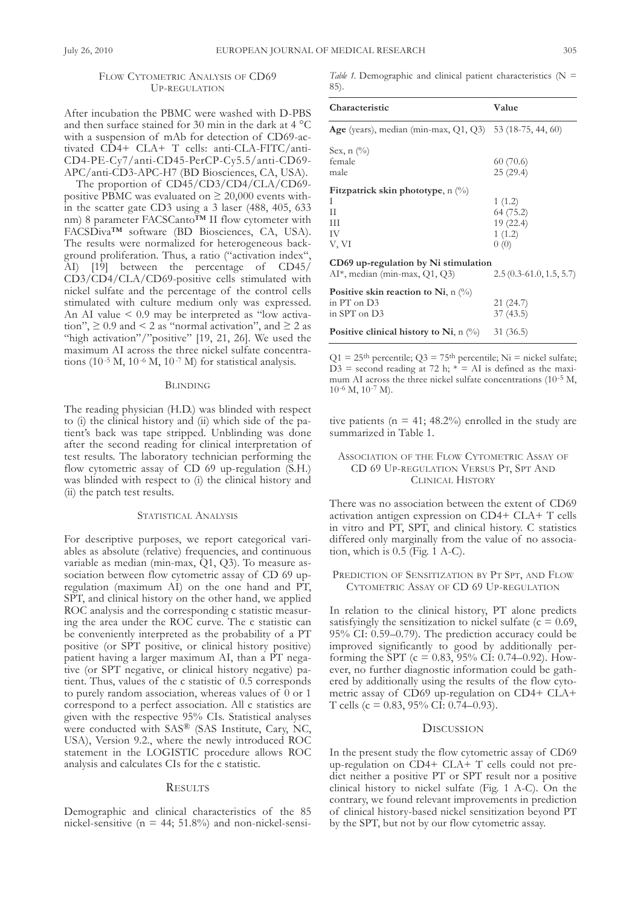# FLOW CYTOMETRIC ANALYSIS OF CD69 UP-REgUlAtIon

After incubation the PBMc were washed with D-PBs and then surface stained for 30 min in the dark at 4 °C with a suspension of mAb for detection of cD69-activated CD4+ CLA+ T cells: anti-CLA-FITC/anticD4-PE-cy7/anti-cD45-PercP-cy5.5/anti-cD69- APc/anti-cD3-APc-H7 (BD Biosciences, cA, UsA).

The proportion of CD45/CD3/CD4/CLA/CD69positive PBMC was evaluated on  $\geq 20,000$  events within the scatter gate cD3 using a 3 laser (488, 405, 633 nm) 8 parameter FACSCanto™ II flow cytometer with fAcsDiva™ software (BD Biosciences, cA, UsA). The results were normalized for heterogeneous background proliferation. Thus, a ratio ("activation index", AI) [19] between the percentage of cD45/ cD3/cD4/clA/cD69-positive cells stimulated with nickel sulfate and the percentage of the control cells stimulated with culture medium only was expressed. An AI value < 0.9 may be interpreted as "low activation",  $\geq 0.9$  and  $\leq 2$  as "normal activation", and  $\geq 2$  as "high activation"/"positive" [19, 21, 26]. We used the maximum AI across the three nickel sulfate concentrations (10-5 M, 10-6 M, 10-7 M) for statistical analysis.

#### BlInDIng

The reading physician (H.D.) was blinded with respect to (i) the clinical history and (ii) which side of the patient's back was tape stripped. Unblinding was done after the second reading for clinical interpretation of test results. The laboratory technician performing the flow cytometric assay of CD 69 up-regulation (S.H.) was blinded with respect to (i) the clinical history and (ii) the patch test results.

#### STATISTICAL ANALYSIS

for descriptive purposes, we report categorical variables as absolute (relative) frequencies, and continuous variable as median (min-max,  $Q1$ ,  $Q3$ ). To measure association between flow cytometric assay of cD 69 upregulation (maximum AI) on the one hand and PT, SPT, and clinical history on the other hand, we applied Roc analysis and the corresponding c statistic measuring the area under the ROC curve. The c statistic can be conveniently interpreted as the probability of a PT positive (or SPT positive, or clinical history positive) patient having a larger maximum AI, than a PT negative (or SPT negative, or clinical history negative) patient. Thus, values of the c statistic of 0.5 corresponds to purely random association, whereas values of 0 or 1 correspond to a perfect association. All c statistics are given with the respective 95% cIs. statistical analyses were conducted with SAS® (SAS Institute, Cary, NC, UsA), Version 9.2., where the newly introduced Roc statement in the LOGISTIC procedure allows ROC analysis and calculates cIs for the c statistic.

#### **RESULTS**

Demographic and clinical characteristics of the 85 nickel-sensitive ( $n = 44$ ; 51.8%) and non-nickel-sensi*Table* 1. Demographic and clinical patient characteristics ( $N =$ 85).

| Characteristic                                                                    | Value                                              |
|-----------------------------------------------------------------------------------|----------------------------------------------------|
| <b>Age</b> (years), median (min-max, Q1, Q3) 53 (18-75, 44, 60)                   |                                                    |
| Sex, $n$ $\left(\frac{0}{0}\right)$<br>female<br>male                             | 60(70.6)<br>25(29.4)                               |
| Fitzpatrick skin phototype, $n \ (\%)$<br>I<br>H<br>Ш<br>IV<br>V, VI              | 1(1.2)<br>64 (75.2)<br>19 (22.4)<br>1(1.2)<br>0(0) |
| CD69 up-regulation by Ni stimulation<br>AI*, median (min-max, Q1, Q3)             | $2.5(0.3-61.0, 1.5, 5.7)$                          |
| Positive skin reaction to Ni, n $\left(\% \right)$<br>in PT on D3<br>in SPT on D3 | 21 (24.7)<br>37(43.5)                              |
| <b>Positive clinical history to Ni</b> , n $\binom{0}{0}$ 31 (36.5)               |                                                    |

Q1 = 25<sup>th</sup> percentile; Q3 = 75<sup>th</sup> percentile; Ni = nickel sulfate;  $D3 =$  second reading at 72 h;  $* = AI$  is defined as the maximum AI across the three nickel sulfate concentrations (10<sup>-5</sup> M, 10-6 M, 10-7 M).

tive patients ( $n = 41$ ; 48.2%) enrolled in the study are summarized in Table 1.

# ASSOCIATION OF THE FLOW CYTOMETRIC ASSAY OF cD 69 UP-REgUlAtIon VERsUs Pt, sPt AnD CLINICAL HISTORY

There was no association between the extent of CD69 activation antigen expression on  $CD4+ CLA+ T$  cells in vitro and PT, SPT, and clinical history. C statistics differed only marginally from the value of no association, which is 0.5 (fig. 1 A-c).

PREDICTION OF SENSITIZATION BY PT SPT, AND FLOW cytoMEtRIc AssAy of cD 69 UP-REgUlAtIon

In relation to the clinical history, PT alone predicts satisfyingly the sensitization to nickel sulfate ( $c = 0.69$ ,  $95\%$  CI: 0.59–0.79). The prediction accuracy could be improved significantly to good by additionally performing the SPT ( $c = 0.83$ , 95% CI: 0.74–0.92). However, no further diagnostic information could be gathered by additionally using the results of the flow cytometric assay of CD69 up-regulation on CD4+ CLA+ T cells (c =  $0.83$ ,  $95\%$  CI:  $0.74-0.93$ ).

# **DISCUSSION**

In the present study the flow cytometric assay of cD69 up-regulation on CD4+ CLA+ T cells could not predict neither a positive PT or SPT result nor a positive clinical history to nickel sulfate (fig. 1 A-c). on the contrary, we found relevant improvements in prediction of clinical history-based nickel sensitization beyond PT by the sPt, but not by our flow cytometric assay.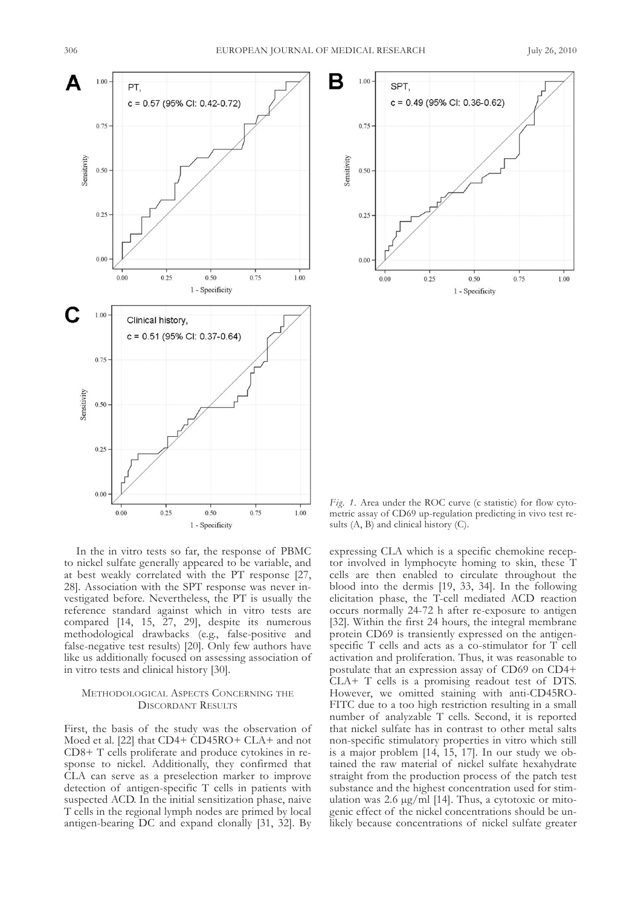



In the in vitro tests so far, the response of PBMc to nickel sulfate generally appeared to be variable, and at best weakly correlated with the PT response [27, 28]. Association with the SPT response was never investigated before. Nevertheless, the PT is usually the reference standard against which in vitro tests are compared [14, 15, 27, 29], despite its numerous methodological drawbacks (e.g., false-positive and false-negative test results) [20]. Only few authors have like us additionally focused on assessing association of in vitro tests and clinical history [30].

### METHODOLOGICAL ASPECTS CONCERNING THE DIscoRDAnt REsUlts

first, the basis of the study was the observation of Moed et al. [22] that CD4+ CD45RO+ CLA+ and not CD8+ T cells proliferate and produce cytokines in response to nickel. Additionally, they confirmed that clA can serve as a preselection marker to improve detection of antigen-specific T cells in patients with suspected AcD. In the initial sensitization phase, naive T cells in the regional lymph nodes are primed by local antigen-bearing Dc and expand clonally [31, 32]. By

*Fig.* 1. Area under the ROC curve (c statistic) for flow cytometric assay of cD69 up-regulation predicting in vivo test results (A, B) and clinical history (C).

expressing clA which is a specific chemokine receptor involved in lymphocyte homing to skin, these T cells are then enabled to circulate throughout the blood into the dermis [19, 33, 34]. In the following elicitation phase, the T-cell mediated ACD reaction occurs normally 24-72 h after re-exposure to antigen [32]. Within the first 24 hours, the integral membrane protein cD69 is transiently expressed on the antigenspecific T cells and acts as a co-stimulator for T cell activation and proliferation. Thus, it was reasonable to postulate that an expression assay of cD69 on cD4+  $CLA+T$  cells is a promising readout test of DTS. However, we omitted staining with anti-cD45Ro-FITC due to a too high restriction resulting in a small number of analyzable T cells. Second, it is reported that nickel sulfate has in contrast to other metal salts non-specific stimulatory properties in vitro which still is a major problem [14, 15, 17]. In our study we obtained the raw material of nickel sulfate hexahydrate straight from the production process of the patch test substance and the highest concentration used for stimulation was 2.6  $\mu$ g/ml [14]. Thus, a cytotoxic or mitogenic effect of the nickel concentrations should be unlikely because concentrations of nickel sulfate greater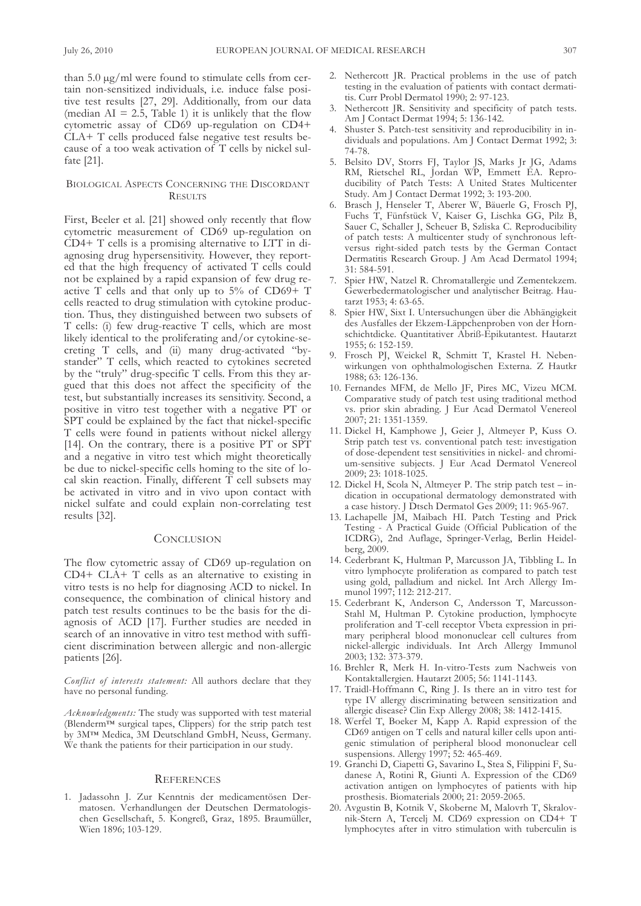than  $5.0 \mu g/ml$  were found to stimulate cells from certain non-sensitized individuals, i.e. induce false positive test results [27, 29]. Additionally, from our data (median  $AI = 2.\overline{5}$ , Table 1) it is unlikely that the flow cytometric assay of cD69 up-regulation on cD4+  $CLA+T$  cells produced false negative test results because of a too weak activation of  $T$  cells by nickel sulfate [21].

# BIOLOGICAL ASPECTS CONCERNING THE DISCORDANT **RESULTS**

first, Beeler et al. [21] showed only recently that flow cytometric measurement of cD69 up-regulation on  $CD4+T$  cells is a promising alternative to LTT in diagnosing drug hypersensitivity. However, they reported that the high frequency of activated T cells could not be explained by a rapid expansion of few drug reactive T cells and that only up to  $5\%$  of CD69+ T cells reacted to drug stimulation with cytokine production. Thus, they distinguished between two subsets of T cells: (i) few drug-reactive T cells, which are most likely identical to the proliferating and/or cytokine-secreting T cells, and (ii) many drug-activated "bystander" T cells, which reacted to cytokines secreted by the "truly" drug-specific T cells. From this they argued that this does not affect the specificity of the test, but substantially increases its sensitivity. second, a positive in vitro test together with a negative PT or SPT could be explained by the fact that nickel-specific T cells were found in patients without nickel allergy [14]. On the contrary, there is a positive PT or SPT and a negative in vitro test which might theoretically be due to nickel-specific cells homing to the site of local skin reaction. Finally, different  $\overline{T}$  cell subsets may be activated in vitro and in vivo upon contact with nickel sulfate and could explain non-correlating test results [32].

## **CONCLUSION**

The flow cytometric assay of CD69 up-regulation on  $CD4+ CLA+ T$  cells as an alternative to existing in vitro tests is no help for diagnosing AcD to nickel. In consequence, the combination of clinical history and patch test results continues to be the basis for the diagnosis of AcD [17]. further studies are needed in search of an innovative in vitro test method with sufficient discrimination between allergic and non-allergic patients [26].

*Conflict of interests statement:* All authors declare that they have no personal funding.

Acknowledgments: The study was supported with test material (Blenderm™ surgical tapes, clippers) for the strip patch test by 3M™ Medica, 3M Deutschland GmbH, Neuss, Germany. We thank the patients for their participation in our study.

#### **REFERENCES**

1. Jadassohn J. zur kenntnis der medicamentösen Dermatosen. Verhandlungen der Deutschen Dermatologischen gesellschaft, 5. kongreß, graz, 1895. Braumüller, Wien 1896; 103-129.

- 2. nethercott JR. Practical problems in the use of patch testing in the evaluation of patients with contact dermatitis. curr Probl Dermatol 1990; 2: 97-123.
- Nethercott JR. Sensitivity and specificity of patch tests. Am J contact Dermat 1994; 5: 136-142.
- Shuster S. Patch-test sensitivity and reproducibility in individuals and populations. Am J contact Dermat 1992; 3: 74-78.
- 5. Belsito DV, Storrs FJ, Taylor JS, Marks Jr JG, Adams RM, Rietschel Rl, Jordan WP, Emmett EA. Reproducibility of Patch Tests: A United States Multicenter study. Am J contact Dermat 1992; 3: 193-200.
- 6. Brasch J, Henseler T, Aberer W, Bäuerle G, Frosch PJ, Fuchs T, Fünfstück V, Kaiser G, Lischka GG, Pilz B, sauer c, schaller J, scheuer B, szliska c. Reproducibility of patch tests: A multicenter study of synchronous leftversus right-sided patch tests by the German Contact Dermatitis Research Group. J Am Acad Dermatol 1994; 31: 584-591.
- 7. spier HW, natzel R. chromatallergie und zementekzem. gewerbedermatologischer und analytischer Beitrag. Hautarzt 1953; 4: 63-65.
- 8. spier HW, sixt I. Untersuchungen über die Abhängigkeit des Ausfalles der Ekzem-läppchenproben von der Hornschichtdicke. Quantitativer Abriß-Epikutantest. Hautarzt 1955; 6: 152-159.
- 9. Frosch PJ, Weickel R, Schmitt T, Krastel H. Nebenwirkungen von ophthalmologischen Externa. Z Hautkr 1988; 63: 126-136.
- 10. fernandes MfM, de Mello Jf, Pires Mc, Vizeu McM. comparative study of patch test using traditional method vs. prior skin abrading. J Eur Acad Dermatol Venereol 2007; 21: 1351-1359.
- 11. Dickel H, kamphowe J, geier J, Altmeyer P, kuss o. strip patch test vs. conventional patch test: investigation of dose-dependent test sensitivities in nickel- and chromium-sensitive subjects. J Eur Acad Dermatol Venereol 2009; 23: 1018-1025.
- 12. Dickel H, Scola N, Altmeyer P. The strip patch test indication in occupational dermatology demonstrated with a case history. J Dtsch Dermatol Ges 2009; 11: 965-967.
- 13. Lachapelle JM, Maibach HI. Patch Testing and Prick Testing - A Practical Guide (Official Publication of the IcDRg), 2nd Auflage, springer-Verlag, Berlin Heidelberg, 2009.
- 14. Cederbrant K, Hultman P, Marcusson JA, Tibbling L. In vitro lymphocyte proliferation as compared to patch test using gold, palladium and nickel. Int Arch Allergy Immunol 1997; 112: 212-217.
- 15. Cederbrant K, Anderson C, Andersson T, Marcussonstahl M, Hultman P. cytokine production, lymphocyte proliferation and T-cell receptor Vbeta expression in primary peripheral blood mononuclear cell cultures from nickel-allergic individuals. Int Arch Allergy Immunol 2003; 132: 373-379.
- 16. Brehler R, Merk H. In-vitro-Tests zum Nachweis von kontaktallergien. Hautarzt 2005; 56: 1141-1143.
- 17. Traidl-Hoffmann C, Ring J. Is there an in vitro test for type IV allergy discriminating between sensitization and allergic disease? clin Exp Allergy 2008; 38: 1412-1415.
- 18. Werfel T, Boeker M, Kapp A. Rapid expression of the CD69 antigen on T cells and natural killer cells upon antigenic stimulation of peripheral blood mononuclear cell suspensions. Allergy 1997; 52: 465-469.
- 19. Granchi D, Ciapetti G, Savarino L, Stea S, Filippini F, Sudanese A, Rotini R, Giunti A. Expression of the CD69 activation antigen on lymphocytes of patients with hip prosthesis. Biomaterials 2000; 21: 2059-2065.
- 20. Avgustin B, Kotnik V, Skoberne M, Malovrh T, Skralovnik-Stern A, Tercelj M. CD69 expression on CD4+ T lymphocytes after in vitro stimulation with tuberculin is